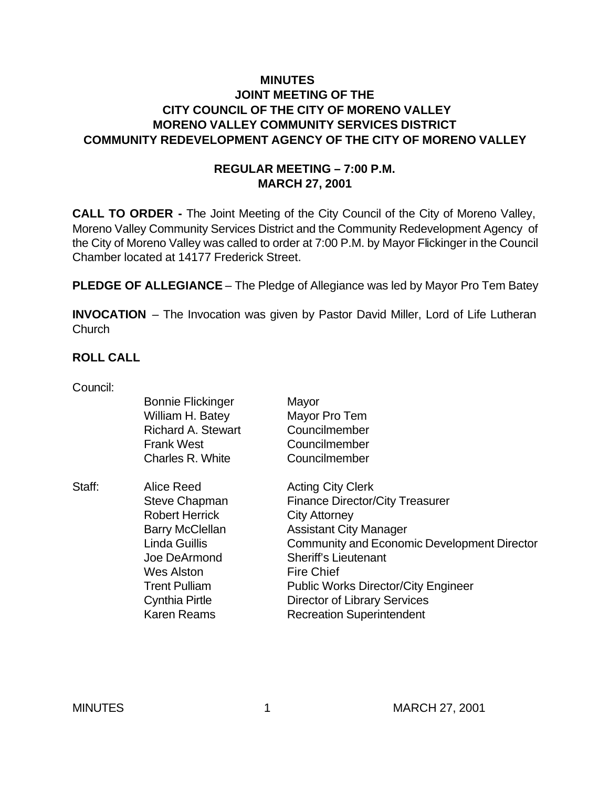#### **MINUTES JOINT MEETING OF THE CITY COUNCIL OF THE CITY OF MORENO VALLEY MORENO VALLEY COMMUNITY SERVICES DISTRICT COMMUNITY REDEVELOPMENT AGENCY OF THE CITY OF MORENO VALLEY**

#### **REGULAR MEETING – 7:00 P.M. MARCH 27, 2001**

**CALL TO ORDER -** The Joint Meeting of the City Council of the City of Moreno Valley, Moreno Valley Community Services District and the Community Redevelopment Agency of the City of Moreno Valley was called to order at 7:00 P.M. by Mayor Flickinger in the Council Chamber located at 14177 Frederick Street.

**PLEDGE OF ALLEGIANCE** – The Pledge of Allegiance was led by Mayor Pro Tem Batey

**INVOCATION** – The Invocation was given by Pastor David Miller, Lord of Life Lutheran **Church** 

#### **ROLL CALL**

Council:

|        | <b>Bonnie Flickinger</b>  | Mayor                                              |
|--------|---------------------------|----------------------------------------------------|
|        | William H. Batey          | Mayor Pro Tem                                      |
|        | <b>Richard A. Stewart</b> | Councilmember                                      |
|        | <b>Frank West</b>         | Councilmember                                      |
|        | Charles R. White          | Councilmember                                      |
| Staff: | Alice Reed                | <b>Acting City Clerk</b>                           |
|        | <b>Steve Chapman</b>      | <b>Finance Director/City Treasurer</b>             |
|        | <b>Robert Herrick</b>     | <b>City Attorney</b>                               |
|        | <b>Barry McClellan</b>    | <b>Assistant City Manager</b>                      |
|        | <b>Linda Guillis</b>      | <b>Community and Economic Development Director</b> |
|        | Joe DeArmond              | <b>Sheriff's Lieutenant</b>                        |
|        | <b>Wes Alston</b>         | <b>Fire Chief</b>                                  |
|        | <b>Trent Pulliam</b>      | <b>Public Works Director/City Engineer</b>         |
|        | Cynthia Pirtle            | <b>Director of Library Services</b>                |
|        | <b>Karen Reams</b>        | <b>Recreation Superintendent</b>                   |
|        |                           |                                                    |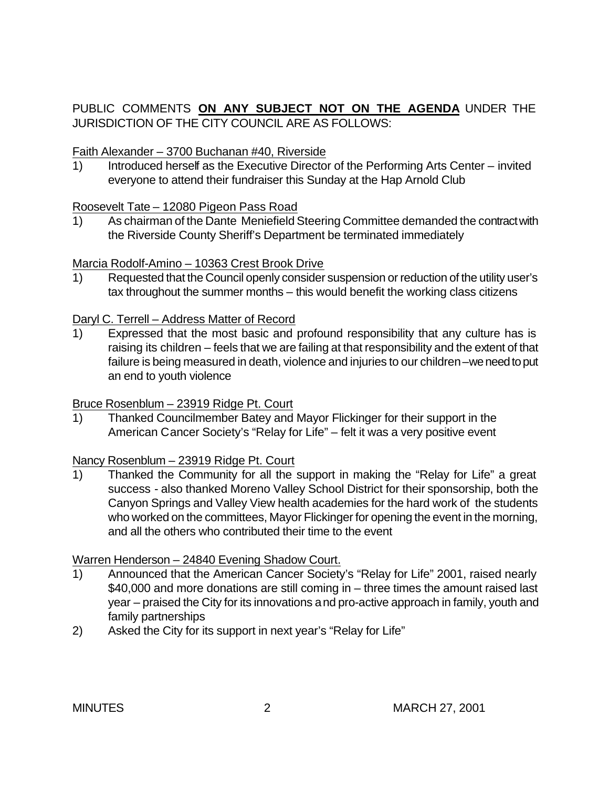## PUBLIC COMMENTS **ON ANY SUBJECT NOT ON THE AGENDA** UNDER THE JURISDICTION OF THE CITY COUNCIL ARE AS FOLLOWS:

#### Faith Alexander – 3700 Buchanan #40, Riverside

1) Introduced herself as the Executive Director of the Performing Arts Center – invited everyone to attend their fundraiser this Sunday at the Hap Arnold Club

#### Roosevelt Tate – 12080 Pigeon Pass Road

1) As chairman of the Dante Meniefield Steering Committee demanded the contract with the Riverside County Sheriff's Department be terminated immediately

#### Marcia Rodolf-Amino – 10363 Crest Brook Drive

1) Requested that the Council openly consider suspension or reduction of the utility user's tax throughout the summer months – this would benefit the working class citizens

#### Daryl C. Terrell – Address Matter of Record

1) Expressed that the most basic and profound responsibility that any culture has is raising its children – feels that we are failing at that responsibility and the extent of that failure is being measured in death, violence and injuries to our children –we need to put an end to youth violence

#### Bruce Rosenblum – 23919 Ridge Pt. Court

1) Thanked Councilmember Batey and Mayor Flickinger for their support in the American Cancer Society's "Relay for Life" – felt it was a very positive event

#### Nancy Rosenblum – 23919 Ridge Pt. Court

1) Thanked the Community for all the support in making the "Relay for Life" a great success - also thanked Moreno Valley School District for their sponsorship, both the Canyon Springs and Valley View health academies for the hard work of the students who worked on the committees, Mayor Flickinger for opening the event in the morning, and all the others who contributed their time to the event

#### Warren Henderson – 24840 Evening Shadow Court.

- 1) Announced that the American Cancer Society's "Relay for Life" 2001, raised nearly \$40,000 and more donations are still coming in – three times the amount raised last year – praised the City for its innovations and pro-active approach in family, youth and family partnerships
- 2) Asked the City for its support in next year's "Relay for Life"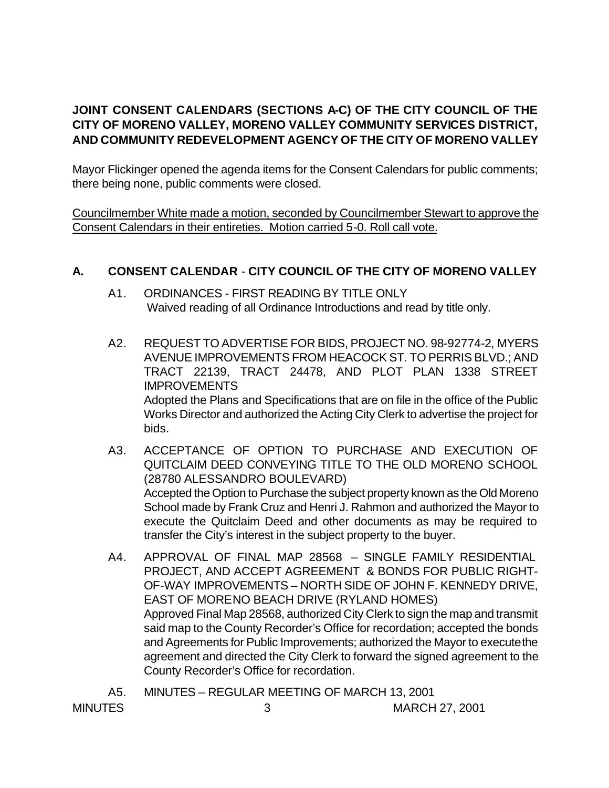## **JOINT CONSENT CALENDARS (SECTIONS A-C) OF THE CITY COUNCIL OF THE CITY OF MORENO VALLEY, MORENO VALLEY COMMUNITY SERVICES DISTRICT, AND COMMUNITY REDEVELOPMENT AGENCY OF THE CITY OF MORENO VALLEY**

Mayor Flickinger opened the agenda items for the Consent Calendars for public comments; there being none, public comments were closed.

Councilmember White made a motion, seconded by Councilmember Stewart to approve the Consent Calendars in their entireties. Motion carried 5-0. Roll call vote.

#### **A. CONSENT CALENDAR** - **CITY COUNCIL OF THE CITY OF MORENO VALLEY**

- A1. ORDINANCES FIRST READING BY TITLE ONLY Waived reading of all Ordinance Introductions and read by title only.
- A2. REQUEST TO ADVERTISE FOR BIDS, PROJECT NO. 98-92774-2, MYERS AVENUE IMPROVEMENTS FROM HEACOCK ST. TO PERRIS BLVD.; AND TRACT 22139, TRACT 24478, AND PLOT PLAN 1338 STREET IMPROVEMENTS Adopted the Plans and Specifications that are on file in the office of the Public Works Director and authorized the Acting City Clerk to advertise the project for bids.
- A3. ACCEPTANCE OF OPTION TO PURCHASE AND EXECUTION OF QUITCLAIM DEED CONVEYING TITLE TO THE OLD MORENO SCHOOL (28780 ALESSANDRO BOULEVARD) Accepted the Option to Purchase the subject property known as the Old Moreno School made by Frank Cruz and Henri J. Rahmon and authorized the Mayor to execute the Quitclaim Deed and other documents as may be required to transfer the City's interest in the subject property to the buyer.
- A4. APPROVAL OF FINAL MAP 28568 SINGLE FAMILY RESIDENTIAL PROJECT, AND ACCEPT AGREEMENT & BONDS FOR PUBLIC RIGHT-OF-WAY IMPROVEMENTS – NORTH SIDE OF JOHN F. KENNEDY DRIVE, EAST OF MORENO BEACH DRIVE (RYLAND HOMES) Approved Final Map 28568, authorized City Clerk to sign the map and transmit said map to the County Recorder's Office for recordation; accepted the bonds and Agreements for Public Improvements; authorized the Mayor to execute the agreement and directed the City Clerk to forward the signed agreement to the County Recorder's Office for recordation.

A5. MINUTES – REGULAR MEETING OF MARCH 13, 2001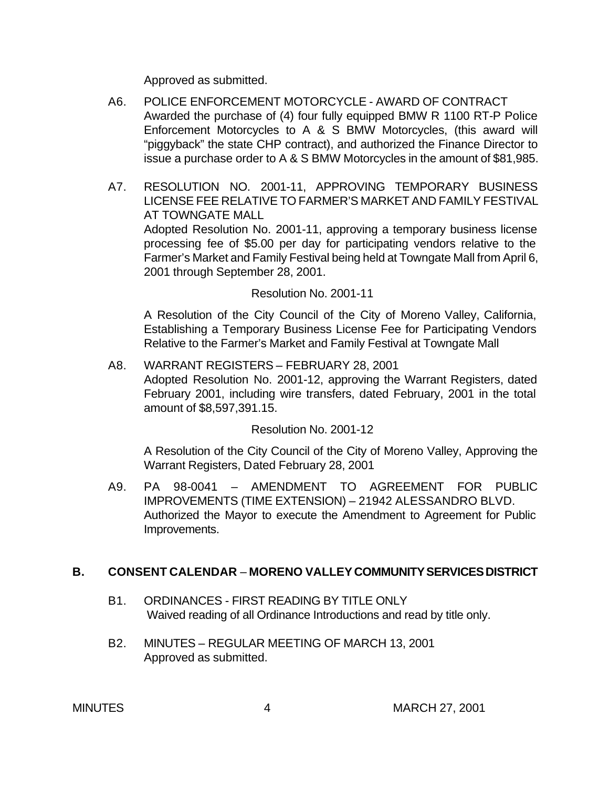Approved as submitted.

- A6. POLICE ENFORCEMENT MOTORCYCLE AWARD OF CONTRACT Awarded the purchase of (4) four fully equipped BMW R 1100 RT-P Police Enforcement Motorcycles to A & S BMW Motorcycles, (this award will "piggyback" the state CHP contract), and authorized the Finance Director to issue a purchase order to A & S BMW Motorcycles in the amount of \$81,985.
- A7. RESOLUTION NO. 2001-11, APPROVING TEMPORARY BUSINESS LICENSE FEE RELATIVE TO FARMER'S MARKET AND FAMILY FESTIVAL AT TOWNGATE MALL Adopted Resolution No. 2001-11, approving a temporary business license

processing fee of \$5.00 per day for participating vendors relative to the Farmer's Market and Family Festival being held at Towngate Mall from April 6, 2001 through September 28, 2001.

Resolution No. 2001-11

A Resolution of the City Council of the City of Moreno Valley, California, Establishing a Temporary Business License Fee for Participating Vendors Relative to the Farmer's Market and Family Festival at Towngate Mall

A8. WARRANT REGISTERS – FEBRUARY 28, 2001 Adopted Resolution No. 2001-12, approving the Warrant Registers, dated February 2001, including wire transfers, dated February, 2001 in the total amount of \$8,597,391.15.

Resolution No. 2001-12

A Resolution of the City Council of the City of Moreno Valley, Approving the Warrant Registers, Dated February 28, 2001

A9. PA 98-0041 – AMENDMENT TO AGREEMENT FOR PUBLIC IMPROVEMENTS (TIME EXTENSION) – 21942 ALESSANDRO BLVD. Authorized the Mayor to execute the Amendment to Agreement for Public Improvements.

#### **B. CONSENT CALENDAR** – **MORENO VALLEY COMMUNITY SERVICES DISTRICT**

- B1. ORDINANCES FIRST READING BY TITLE ONLY Waived reading of all Ordinance Introductions and read by title only.
- B2. MINUTES REGULAR MEETING OF MARCH 13, 2001 Approved as submitted. ٔ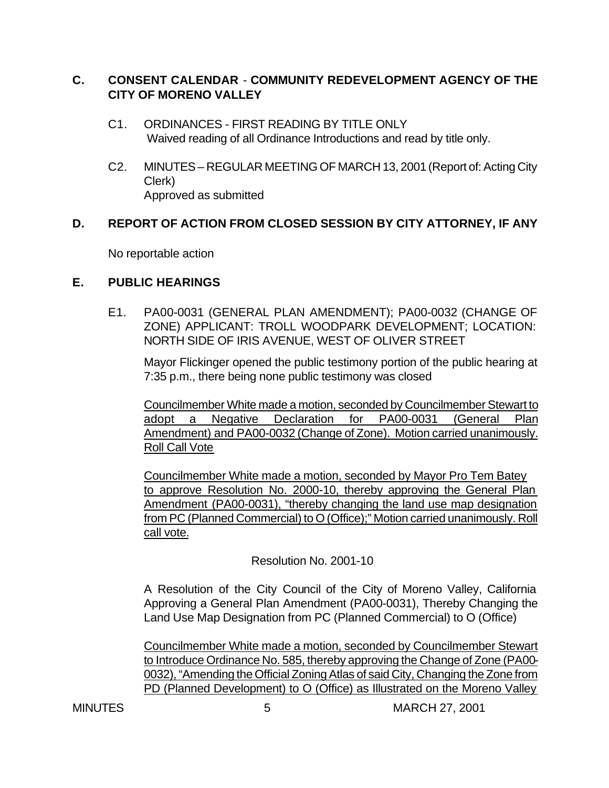### **C. CONSENT CALENDAR** - **COMMUNITY REDEVELOPMENT AGENCY OF THE CITY OF MORENO VALLEY**

- C1. ORDINANCES FIRST READING BY TITLE ONLY Waived reading of all Ordinance Introductions and read by title only.
- C2. MINUTES REGULAR MEETING OF MARCH 13, 2001 (Report of: Acting City Clerk) Approved as submitted

### **D. REPORT OF ACTION FROM CLOSED SESSION BY CITY ATTORNEY, IF ANY**

No reportable action

#### **E. PUBLIC HEARINGS**

E1. PA00-0031 (GENERAL PLAN AMENDMENT); PA00-0032 (CHANGE OF ZONE) APPLICANT: TROLL WOODPARK DEVELOPMENT; LOCATION: NORTH SIDE OF IRIS AVENUE, WEST OF OLIVER STREET

Mayor Flickinger opened the public testimony portion of the public hearing at 7:35 p.m., there being none public testimony was closed

Councilmember White made a motion, seconded by Councilmember Stewart to adopt a Negative Declaration for PA00-0031 (General Plan Amendment) and PA00-0032 (Change of Zone). Motion carried unanimously. Roll Call Vote

Councilmember White made a motion, seconded by Mayor Pro Tem Batey to approve Resolution No. 2000-10, thereby approving the General Plan Amendment (PA00-0031), "thereby changing the land use map designation from PC (Planned Commercial) to O (Office);" Motion carried unanimously. Roll call vote.

Resolution No. 2001-10

A Resolution of the City Council of the City of Moreno Valley, California Approving a General Plan Amendment (PA00-0031), Thereby Changing the Land Use Map Designation from PC (Planned Commercial) to O (Office)

Councilmember White made a motion, seconded by Councilmember Stewart to Introduce Ordinance No. 585, thereby approving the Change of Zone (PA00- 0032), "Amending the Official Zoning Atlas of said City, Changing the Zone from PD (Planned Development) to O (Office) as Illustrated on the Moreno Valley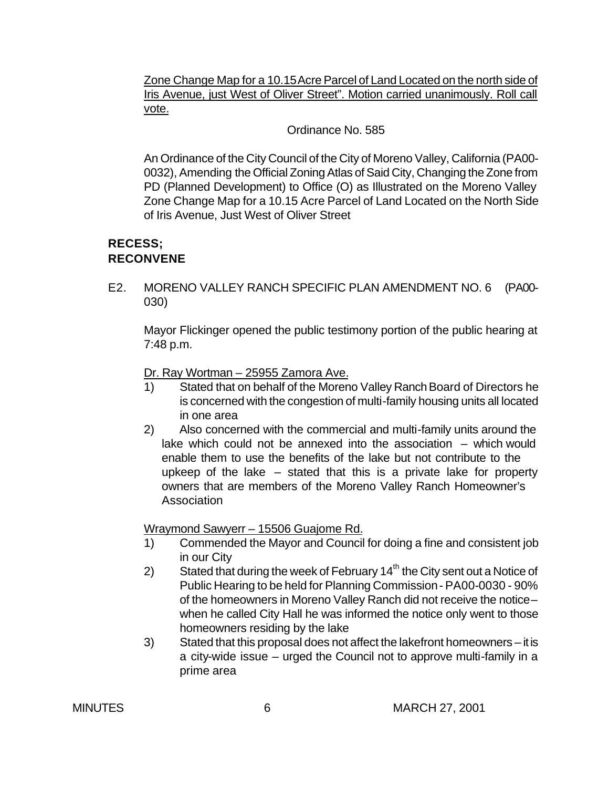Zone Change Map for a 10.15 Acre Parcel of Land Located on the north side of Iris Avenue, just West of Oliver Street". Motion carried unanimously. Roll call vote.

Ordinance No. 585

An Ordinance of the City Council of the City of Moreno Valley, California (PA00- 0032), Amending the Official Zoning Atlas of Said City, Changing the Zone from PD (Planned Development) to Office (O) as Illustrated on the Moreno Valley Zone Change Map for a 10.15 Acre Parcel of Land Located on the North Side of Iris Avenue, Just West of Oliver Street

#### **RECESS; RECONVENE**

E2. MORENO VALLEY RANCH SPECIFIC PLAN AMENDMENT NO. 6 (PA00- 030)

Mayor Flickinger opened the public testimony portion of the public hearing at 7:48 p.m.

Dr. Ray Wortman – 25955 Zamora Ave.

- 1) Stated that on behalf of the Moreno Valley Ranch Board of Directors he is concerned with the congestion of multi-family housing units all located in one area
- 2) Also concerned with the commercial and multi-family units around the lake which could not be annexed into the association – which would enable them to use the benefits of the lake but not contribute to the upkeep of the lake – stated that this is a private lake for property owners that are members of the Moreno Valley Ranch Homeowner's **Association**

Wraymond Sawyerr – 15506 Guajome Rd.

- 1) Commended the Mayor and Council for doing a fine and consistent job in our City
- 2) Stated that during the week of February  $14<sup>th</sup>$  the City sent out a Notice of Public Hearing to be held for Planning Commission- PA00-0030 - 90% of the homeowners in Moreno Valley Ranch did not receive the notice – when he called City Hall he was informed the notice only went to those homeowners residing by the lake
- 3) Stated that this proposal does not affect the lakefront homeowners it is a city-wide issue – urged the Council not to approve multi-family in a prime area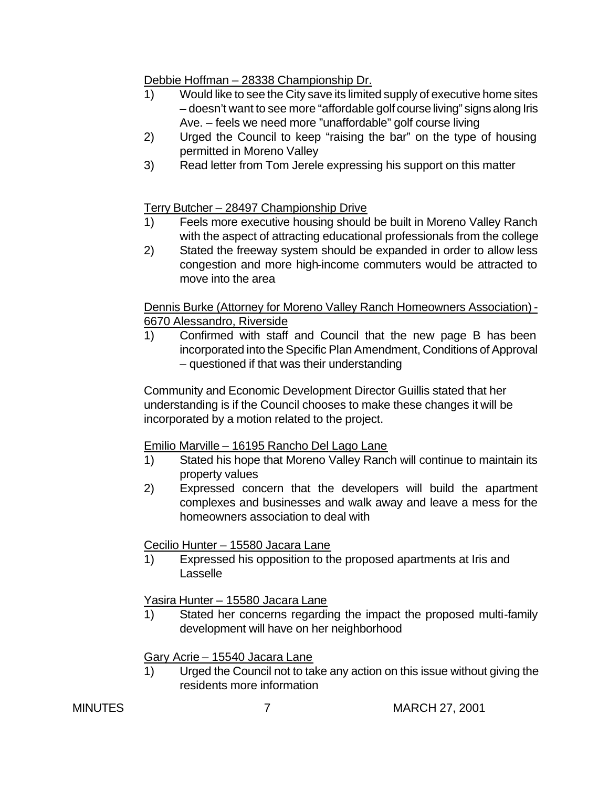Debbie Hoffman – 28338 Championship Dr.

- 1) Would like to see the City save its limited supply of executive home sites – doesn't want to see more "affordable golf course living" signs along Iris Ave. – feels we need more "unaffordable" golf course living
- 2) Urged the Council to keep "raising the bar" on the type of housing permitted in Moreno Valley
- 3) Read letter from Tom Jerele expressing his support on this matter

Terry Butcher – 28497 Championship Drive

- 1) Feels more executive housing should be built in Moreno Valley Ranch with the aspect of attracting educational professionals from the college
- 2) Stated the freeway system should be expanded in order to allow less congestion and more high-income commuters would be attracted to move into the area

Dennis Burke (Attorney for Moreno Valley Ranch Homeowners Association) - 6670 Alessandro, Riverside

1) Confirmed with staff and Council that the new page B has been incorporated into the Specific Plan Amendment, Conditions of Approval – questioned if that was their understanding

Community and Economic Development Director Guillis stated that her understanding is if the Council chooses to make these changes it will be incorporated by a motion related to the project.

## Emilio Marville – 16195 Rancho Del Lago Lane

- 1) Stated his hope that Moreno Valley Ranch will continue to maintain its property values
- 2) Expressed concern that the developers will build the apartment complexes and businesses and walk away and leave a mess for the homeowners association to deal with

Cecilio Hunter – 15580 Jacara Lane

1) Expressed his opposition to the proposed apartments at Iris and Lasselle

Yasira Hunter – 15580 Jacara Lane

1) Stated her concerns regarding the impact the proposed multi-family development will have on her neighborhood

Gary Acrie – 15540 Jacara Lane

1) Urged the Council not to take any action on this issue without giving the residents more information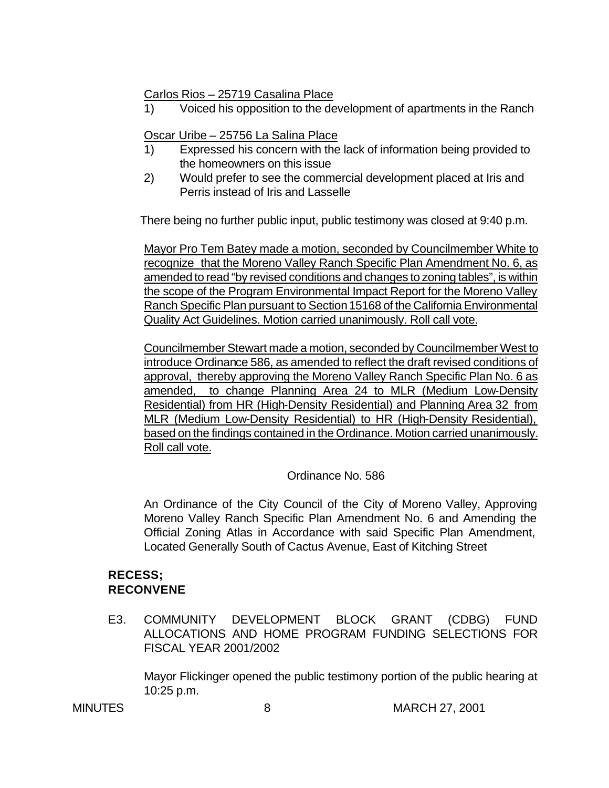Carlos Rios – 25719 Casalina Place

1) Voiced his opposition to the development of apartments in the Ranch

Oscar Uribe – 25756 La Salina Place

- 1) Expressed his concern with the lack of information being provided to the homeowners on this issue
- 2) Would prefer to see the commercial development placed at Iris and Perris instead of Iris and Lasselle

There being no further public input, public testimony was closed at 9:40 p.m.

Mayor Pro Tem Batey made a motion, seconded by Councilmember White to recognize that the Moreno Valley Ranch Specific Plan Amendment No. 6, as amended to read "by revised conditions and changes to zoning tables", is within the scope of the Program Environmental Impact Report for the Moreno Valley Ranch Specific Plan pursuant to Section 15168 of the California Environmental Quality Act Guidelines. Motion carried unanimously. Roll call vote.

Councilmember Stewart made a motion, seconded by Councilmember West to introduce Ordinance 586, as amended to reflect the draft revised conditions of approval, thereby approving the Moreno Valley Ranch Specific Plan No. 6 as amended, to change Planning Area 24 to MLR (Medium Low-Density Residential) from HR (High-Density Residential) and Planning Area 32 from MLR (Medium Low-Density Residential) to HR (High-Density Residential), based on the findings contained in the Ordinance. Motion carried unanimously. Roll call vote.

Ordinance No. 586

An Ordinance of the City Council of the City of Moreno Valley, Approving Moreno Valley Ranch Specific Plan Amendment No. 6 and Amending the Official Zoning Atlas in Accordance with said Specific Plan Amendment, Located Generally South of Cactus Avenue, East of Kitching Street

#### **RECESS; RECONVENE**

E3. COMMUNITY DEVELOPMENT BLOCK GRANT (CDBG) FUND ALLOCATIONS AND HOME PROGRAM FUNDING SELECTIONS FOR FISCAL YEAR 2001/2002

Mayor Flickinger opened the public testimony portion of the public hearing at 10:25 p.m.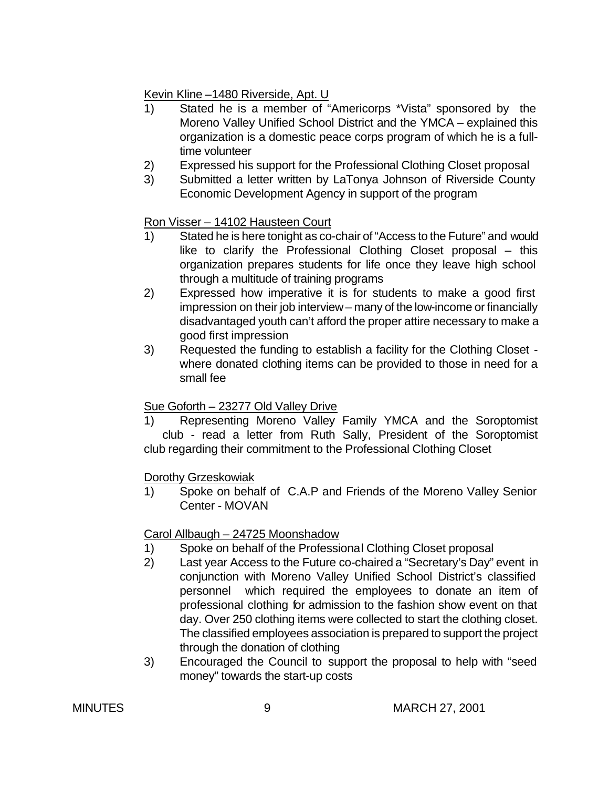Kevin Kline –1480 Riverside, Apt. U

- 1) Stated he is a member of "Americorps \*Vista" sponsored by the Moreno Valley Unified School District and the YMCA – explained this organization is a domestic peace corps program of which he is a fulltime volunteer
- 2) Expressed his support for the Professional Clothing Closet proposal
- 3) Submitted a letter written by LaTonya Johnson of Riverside County Economic Development Agency in support of the program

## Ron Visser – 14102 Hausteen Court

- 1) Stated he is here tonight as co-chair of "Access to the Future" and would like to clarify the Professional Clothing Closet proposal – this organization prepares students for life once they leave high school through a multitude of training programs
- 2) Expressed how imperative it is for students to make a good first impression on their job interview – many of the low-income or financially disadvantaged youth can't afford the proper attire necessary to make a good first impression
- 3) Requested the funding to establish a facility for the Clothing Closet where donated clothing items can be provided to those in need for a small fee

# Sue Goforth – 23277 Old Valley Drive

1) Representing Moreno Valley Family YMCA and the Soroptomist club - read a letter from Ruth Sally, President of the Soroptomist club regarding their commitment to the Professional Clothing Closet

# Dorothy Grzeskowiak

1) Spoke on behalf of C.A.P and Friends of the Moreno Valley Senior Center - MOVAN

# Carol Allbaugh – 24725 Moonshadow

- 1) Spoke on behalf of the Professional Clothing Closet proposal
- 2) Last year Access to the Future co-chaired a "Secretary's Day" event in conjunction with Moreno Valley Unified School District's classified personnel which required the employees to donate an item of professional clothing for admission to the fashion show event on that day. Over 250 clothing items were collected to start the clothing closet. The classified employees association is prepared to support the project through the donation of clothing
- 3) Encouraged the Council to support the proposal to help with "seed money" towards the start-up costs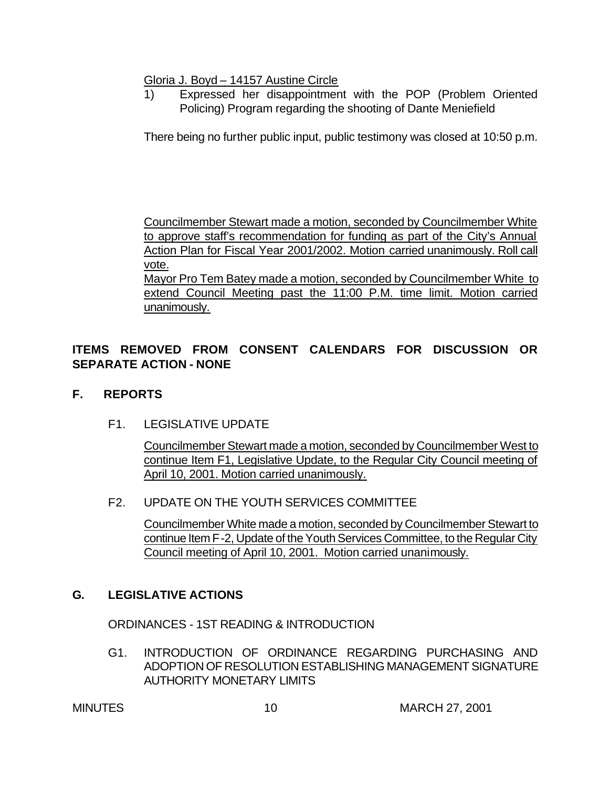Gloria J. Boyd – 14157 Austine Circle

1) Expressed her disappointment with the POP (Problem Oriented Policing) Program regarding the shooting of Dante Meniefield

There being no further public input, public testimony was closed at 10:50 p.m.

Councilmember Stewart made a motion, seconded by Councilmember White to approve staff's recommendation for funding as part of the City's Annual Action Plan for Fiscal Year 2001/2002. Motion carried unanimously. Roll call vote.

Mayor Pro Tem Batey made a motion, seconded by Councilmember White to extend Council Meeting past the 11:00 P.M. time limit. Motion carried unanimously.

## **ITEMS REMOVED FROM CONSENT CALENDARS FOR DISCUSSION OR SEPARATE ACTION - NONE**

## **F. REPORTS**

F1. LEGISLATIVE UPDATE

Councilmember Stewart made a motion, seconded by Councilmember West to continue Item F1, Legislative Update, to the Regular City Council meeting of April 10, 2001. Motion carried unanimously.

## F2. UPDATE ON THE YOUTH SERVICES COMMITTEE

Councilmember White made a motion, seconded by Councilmember Stewart to continue Item F-2, Update of the Youth Services Committee, to the Regular City Council meeting of April 10, 2001. Motion carried unanimously.

## **G. LEGISLATIVE ACTIONS**

ORDINANCES - 1ST READING & INTRODUCTION

G1. INTRODUCTION OF ORDINANCE REGARDING PURCHASING AND ADOPTION OF RESOLUTION ESTABLISHING MANAGEMENT SIGNATURE AUTHORITY MONETARY LIMITS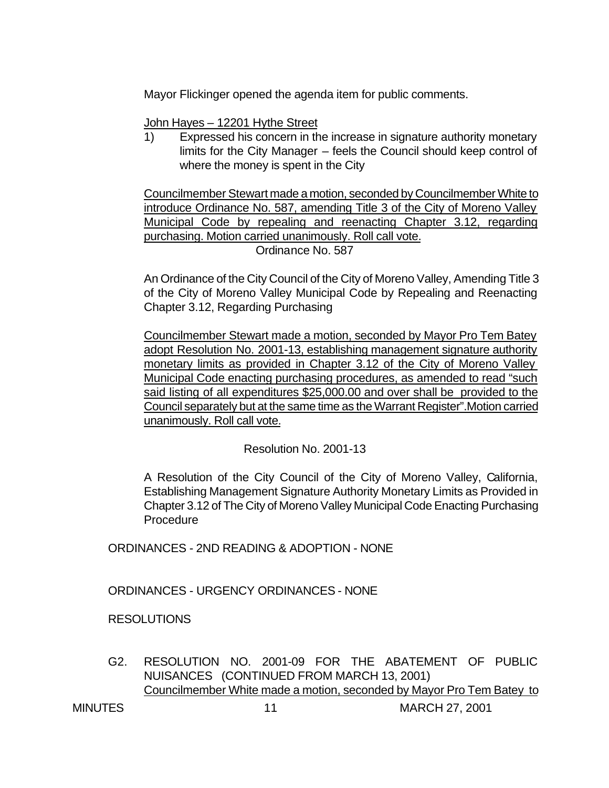Mayor Flickinger opened the agenda item for public comments.

John Hayes – 12201 Hythe Street

1) Expressed his concern in the increase in signature authority monetary limits for the City Manager – feels the Council should keep control of where the money is spent in the City

Councilmember Stewart made a motion, seconded by Councilmember White to introduce Ordinance No. 587, amending Title 3 of the City of Moreno Valley Municipal Code by repealing and reenacting Chapter 3.12, regarding purchasing. Motion carried unanimously. Roll call vote.

Ordinance No. 587

An Ordinance of the City Council of the City of Moreno Valley, Amending Title 3 of the City of Moreno Valley Municipal Code by Repealing and Reenacting Chapter 3.12, Regarding Purchasing

Councilmember Stewart made a motion, seconded by Mayor Pro Tem Batey adopt Resolution No. 2001-13, establishing management signature authority monetary limits as provided in Chapter 3.12 of the City of Moreno Valley Municipal Code enacting purchasing procedures, as amended to read "such said listing of all expenditures \$25,000.00 and over shall be provided to the Council separately but at the same time as the Warrant Register".Motion carried unanimously. Roll call vote.

Resolution No. 2001-13

A Resolution of the City Council of the City of Moreno Valley, California, Establishing Management Signature Authority Monetary Limits as Provided in Chapter 3.12 of The City of Moreno Valley Municipal Code Enacting Purchasing **Procedure** 

ORDINANCES - 2ND READING & ADOPTION - NONE

ORDINANCES - URGENCY ORDINANCES - NONE

RESOLUTIONS

G2. RESOLUTION NO. 2001-09 FOR THE ABATEMENT OF PUBLIC NUISANCES (CONTINUED FROM MARCH 13, 2001) Councilmember White made a motion, seconded by Mayor Pro Tem Batey to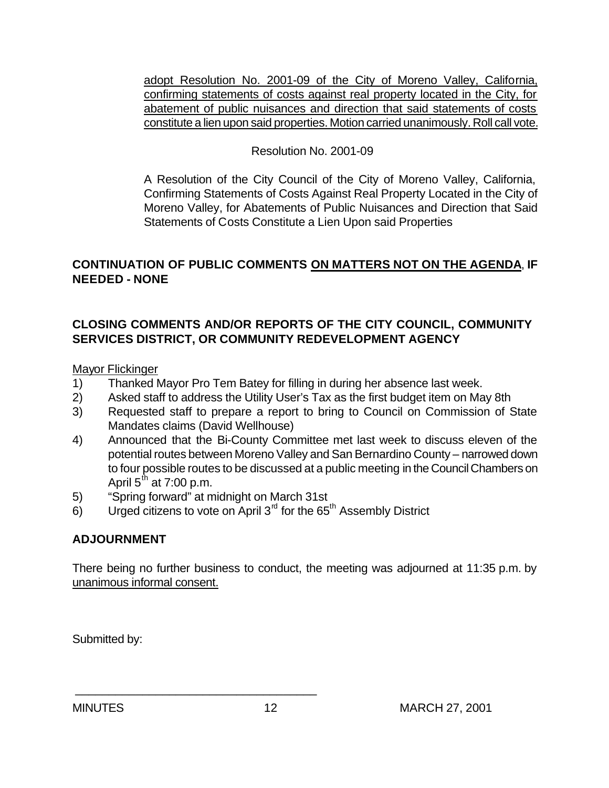adopt Resolution No. 2001-09 of the City of Moreno Valley, California, confirming statements of costs against real property located in the City, for abatement of public nuisances and direction that said statements of costs constitute a lien upon said properties. Motion carried unanimously. Roll call vote.

### Resolution No. 2001-09

A Resolution of the City Council of the City of Moreno Valley, California, Confirming Statements of Costs Against Real Property Located in the City of Moreno Valley, for Abatements of Public Nuisances and Direction that Said Statements of Costs Constitute a Lien Upon said Properties

## **CONTINUATION OF PUBLIC COMMENTS ON MATTERS NOT ON THE AGENDA**, **IF NEEDED - NONE**

## **CLOSING COMMENTS AND/OR REPORTS OF THE CITY COUNCIL, COMMUNITY SERVICES DISTRICT, OR COMMUNITY REDEVELOPMENT AGENCY**

Mayor Flickinger

- 1) Thanked Mayor Pro Tem Batey for filling in during her absence last week.
- 2) Asked staff to address the Utility User's Tax as the first budget item on May 8th
- 3) Requested staff to prepare a report to bring to Council on Commission of State Mandates claims (David Wellhouse)
- 4) Announced that the Bi-County Committee met last week to discuss eleven of the potential routes between Moreno Valley and San Bernardino County – narrowed down to four possible routes to be discussed at a public meeting in the Council Chambers on April  $5^{th}$  at 7:00 p.m.
- 5) "Spring forward" at midnight on March 31st

\_\_\_\_\_\_\_\_\_\_\_\_\_\_\_\_\_\_\_\_\_\_\_\_\_\_\_\_\_\_\_\_\_\_\_\_

 $6$ ) Urged citizens to vote on April 3<sup>rd</sup> for the 65<sup>th</sup> Assembly District

## **ADJOURNMENT**

There being no further business to conduct, the meeting was adjourned at 11:35 p.m. by unanimous informal consent.

Submitted by: